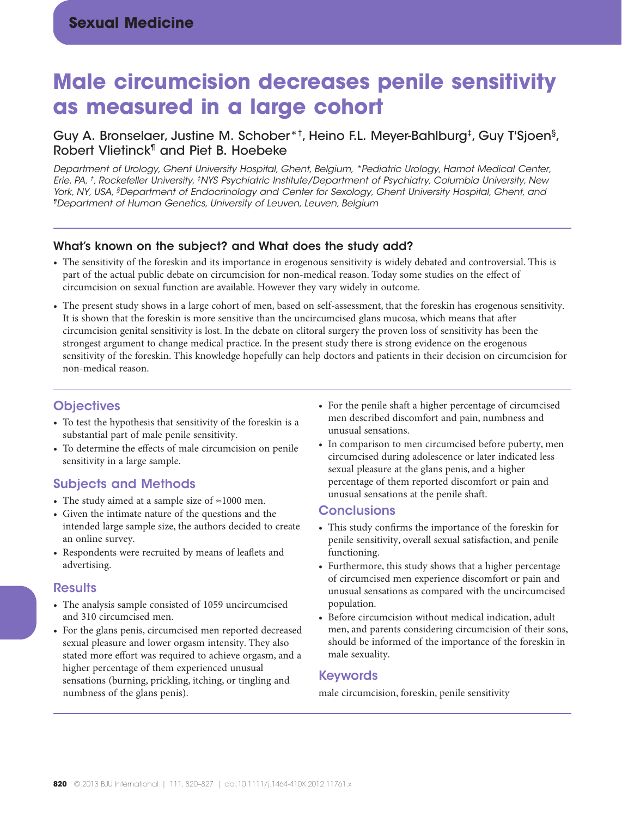# **Male circumcision decreases penile sensitivity as measured in a large cohort**

# Guy A. Bronselaer, Justine M. Schober\*†, Heino F.L. Meyer-Bahlburg‡, Guy T'Sjoen§, Robert Vlietinck¶ and Piet B. Hoebeke

Department of Urology, Ghent University Hospital, Ghent, Belgium, \*Pediatric Urology, Hamot Medical Center, Erie, PA, †, Rockefeller University, ‡NYS Psychiatric Institute/Department of Psychiatry, Columbia University, New York, NY, USA, §Department of Endocrinology and Center for Sexology, Ghent University Hospital, Ghent, and ¶Department of Human Genetics, University of Leuven, Leuven, Belgium

# What's known on the subject? and What does the study add?

- The sensitivity of the foreskin and its importance in erogenous sensitivity is widely debated and controversial. This is part of the actual public debate on circumcision for non-medical reason. Today some studies on the effect of circumcision on sexual function are available. However they vary widely in outcome.
- The present study shows in a large cohort of men, based on self-assessment, that the foreskin has erogenous sensitivity. It is shown that the foreskin is more sensitive than the uncircumcised glans mucosa, which means that after circumcision genital sensitivity is lost. In the debate on clitoral surgery the proven loss of sensitivity has been the strongest argument to change medical practice. In the present study there is strong evidence on the erogenous sensitivity of the foreskin. This knowledge hopefully can help doctors and patients in their decision on circumcision for non-medical reason.

## **Objectives**

- To test the hypothesis that sensitivity of the foreskin is a substantial part of male penile sensitivity.
- To determine the effects of male circumcision on penile sensitivity in a large sample.

# Subjects and Methods

- The study aimed at a sample size of  $\approx$ 1000 men.
- Given the intimate nature of the questions and the intended large sample size, the authors decided to create an online survey.
- Respondents were recruited by means of leaflets and advertising.

#### **Results**

- The analysis sample consisted of 1059 uncircumcised and 310 circumcised men.
- For the glans penis, circumcised men reported decreased sexual pleasure and lower orgasm intensity. They also stated more effort was required to achieve orgasm, and a higher percentage of them experienced unusual sensations (burning, prickling, itching, or tingling and numbness of the glans penis).
- For the penile shaft a higher percentage of circumcised men described discomfort and pain, numbness and unusual sensations.
- In comparison to men circumcised before puberty, men circumcised during adolescence or later indicated less sexual pleasure at the glans penis, and a higher percentage of them reported discomfort or pain and unusual sensations at the penile shaft.

#### **Conclusions**

- This study confirms the importance of the foreskin for penile sensitivity, overall sexual satisfaction, and penile functioning.
- Furthermore, this study shows that a higher percentage of circumcised men experience discomfort or pain and unusual sensations as compared with the uncircumcised population.
- Before circumcision without medical indication, adult men, and parents considering circumcision of their sons, should be informed of the importance of the foreskin in male sexuality.

## Keywords

male circumcision, foreskin, penile sensitivity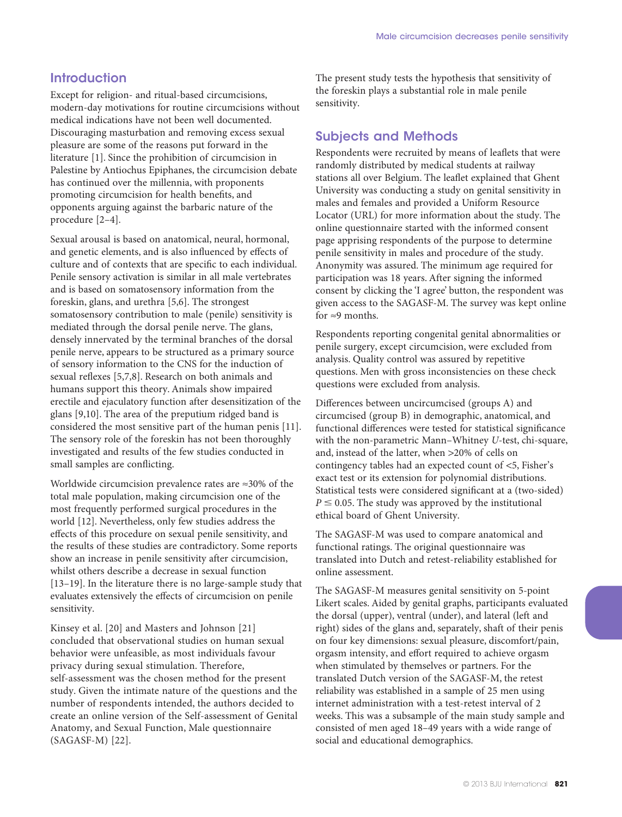## **Introduction**

Except for religion- and ritual-based circumcisions, modern-day motivations for routine circumcisions without medical indications have not been well documented. Discouraging masturbation and removing excess sexual pleasure are some of the reasons put forward in the literature [1]. Since the prohibition of circumcision in Palestine by Antiochus Epiphanes, the circumcision debate has continued over the millennia, with proponents promoting circumcision for health benefits, and opponents arguing against the barbaric nature of the procedure [2–4].

Sexual arousal is based on anatomical, neural, hormonal, and genetic elements, and is also influenced by effects of culture and of contexts that are specific to each individual. Penile sensory activation is similar in all male vertebrates and is based on somatosensory information from the foreskin, glans, and urethra [5,6]. The strongest somatosensory contribution to male (penile) sensitivity is mediated through the dorsal penile nerve. The glans, densely innervated by the terminal branches of the dorsal penile nerve, appears to be structured as a primary source of sensory information to the CNS for the induction of sexual reflexes [5,7,8]. Research on both animals and humans support this theory. Animals show impaired erectile and ejaculatory function after desensitization of the glans [9,10]. The area of the preputium ridged band is considered the most sensitive part of the human penis [11]. The sensory role of the foreskin has not been thoroughly investigated and results of the few studies conducted in small samples are conflicting.

Worldwide circumcision prevalence rates are  $\approx$ 30% of the total male population, making circumcision one of the most frequently performed surgical procedures in the world [12]. Nevertheless, only few studies address the effects of this procedure on sexual penile sensitivity, and the results of these studies are contradictory. Some reports show an increase in penile sensitivity after circumcision, whilst others describe a decrease in sexual function [13-19]. In the literature there is no large-sample study that evaluates extensively the effects of circumcision on penile sensitivity.

Kinsey et al. [20] and Masters and Johnson [21] concluded that observational studies on human sexual behavior were unfeasible, as most individuals favour privacy during sexual stimulation. Therefore, self-assessment was the chosen method for the present study. Given the intimate nature of the questions and the number of respondents intended, the authors decided to create an online version of the Self-assessment of Genital Anatomy, and Sexual Function, Male questionnaire (SAGASF-M) [22].

The present study tests the hypothesis that sensitivity of the foreskin plays a substantial role in male penile sensitivity.

## Subjects and Methods

Respondents were recruited by means of leaflets that were randomly distributed by medical students at railway stations all over Belgium. The leaflet explained that Ghent University was conducting a study on genital sensitivity in males and females and provided a Uniform Resource Locator (URL) for more information about the study. The online questionnaire started with the informed consent page apprising respondents of the purpose to determine penile sensitivity in males and procedure of the study. Anonymity was assured. The minimum age required for participation was 18 years. After signing the informed consent by clicking the 'I agree' button, the respondent was given access to the SAGASF-M. The survey was kept online for  $\approx$ 9 months.

Respondents reporting congenital genital abnormalities or penile surgery, except circumcision, were excluded from analysis. Quality control was assured by repetitive questions. Men with gross inconsistencies on these check questions were excluded from analysis.

Differences between uncircumcised (groups A) and circumcised (group B) in demographic, anatomical, and functional differences were tested for statistical significance with the non-parametric Mann–Whitney *U*-test, chi-square, and, instead of the latter, when >20% of cells on contingency tables had an expected count of <5, Fisher's exact test or its extension for polynomial distributions. Statistical tests were considered significant at a (two-sided)  $P \leq 0.05$ . The study was approved by the institutional ethical board of Ghent University.

The SAGASF-M was used to compare anatomical and functional ratings. The original questionnaire was translated into Dutch and retest-reliability established for online assessment.

The SAGASF-M measures genital sensitivity on 5-point Likert scales. Aided by genital graphs, participants evaluated the dorsal (upper), ventral (under), and lateral (left and right) sides of the glans and, separately, shaft of their penis on four key dimensions: sexual pleasure, discomfort/pain, orgasm intensity, and effort required to achieve orgasm when stimulated by themselves or partners. For the translated Dutch version of the SAGASF-M, the retest reliability was established in a sample of 25 men using internet administration with a test-retest interval of 2 weeks. This was a subsample of the main study sample and consisted of men aged 18–49 years with a wide range of social and educational demographics.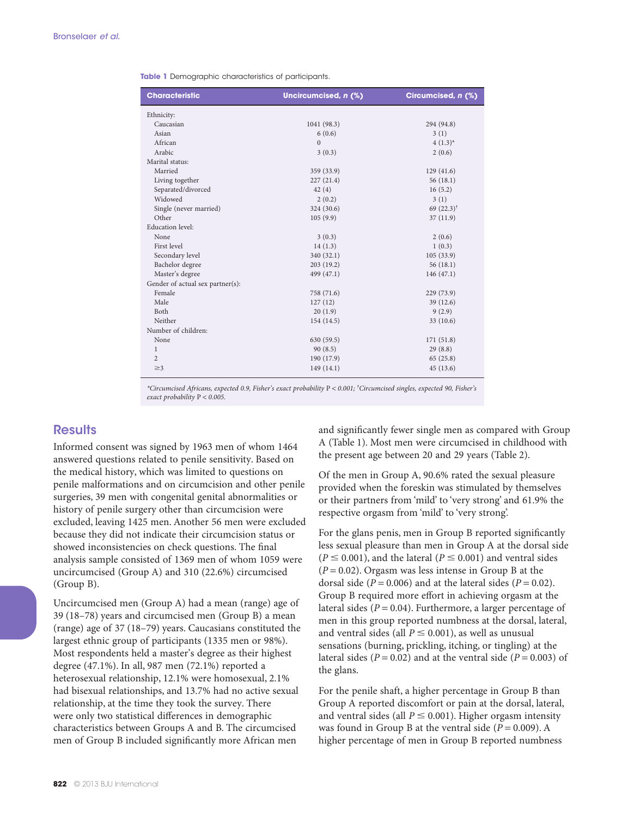**Table 1** Demographic characteristics of participants.

| <b>Characteristic</b>            | Uncircumcised, n (%) | Circumcised, n (%)       |
|----------------------------------|----------------------|--------------------------|
| Ethnicity:                       |                      |                          |
| Caucasian                        | 1041 (98.3)          | 294 (94.8)               |
| Asian                            | 6(0.6)               | 3(1)                     |
| African                          | $\Omega$             | $4(1.3)^{*}$             |
| Arabic                           | 3(0.3)               | 2(0.6)                   |
| Marital status:                  |                      |                          |
| Married                          | 359 (33.9)           | 129(41.6)                |
| Living together                  | 227(21.4)            | 56(18.1)                 |
| Separated/divorced               | 42(4)                | 16(5.2)                  |
| Widowed                          | 2(0.2)               | 3(1)                     |
| Single (never married)           | 324 (30.6)           | 69 $(22.3)$ <sup>†</sup> |
| Other                            | 105(9.9)             | 37(11.9)                 |
| <b>Education</b> level:          |                      |                          |
| None                             | 3(0.3)               | 2(0.6)                   |
| First level                      | 14(1.3)              | 1(0.3)                   |
| Secondary level                  | 340 (32.1)           | 105(33.9)                |
| Bachelor degree                  | 203 (19.2)           | 56(18.1)                 |
| Master's degree                  | 499 (47.1)           | 146(47.1)                |
| Gender of actual sex partner(s): |                      |                          |
| Female                           | 758 (71.6)           | 229 (73.9)               |
| Male                             | 127(12)              | 39 (12.6)                |
| <b>B</b> oth                     | 20(1.9)              | 9(2.9)                   |
| Neither                          | 154 (14.5)           | 33(10.6)                 |
| Number of children:              |                      |                          |
| None                             | 630 (59.5)           | 171(51.8)                |
| $\mathbf{1}$                     | 90(8.5)              | 29(8.8)                  |
| $\overline{2}$                   | 190 (17.9)           | 65(25.8)                 |
| $\geq$ 3                         | 149(14.1)            | 45(13.6)                 |

*\*Circumcised Africans, expected 0.9, Fisher's exact probability* P < *0.001; † Circumcised singles, expected 90, Fisher's exact probability* P < *0.005.*

#### **Results**

Informed consent was signed by 1963 men of whom 1464 answered questions related to penile sensitivity. Based on the medical history, which was limited to questions on penile malformations and on circumcision and other penile surgeries, 39 men with congenital genital abnormalities or history of penile surgery other than circumcision were excluded, leaving 1425 men. Another 56 men were excluded because they did not indicate their circumcision status or showed inconsistencies on check questions. The final analysis sample consisted of 1369 men of whom 1059 were uncircumcised (Group A) and 310 (22.6%) circumcised (Group B).

Uncircumcised men (Group A) had a mean (range) age of 39 (18–78) years and circumcised men (Group B) a mean (range) age of 37 (18–79) years. Caucasians constituted the largest ethnic group of participants (1335 men or 98%). Most respondents held a master's degree as their highest degree (47.1%). In all, 987 men (72.1%) reported a heterosexual relationship, 12.1% were homosexual, 2.1% had bisexual relationships, and 13.7% had no active sexual relationship, at the time they took the survey. There were only two statistical differences in demographic characteristics between Groups A and B. The circumcised men of Group B included significantly more African men

and significantly fewer single men as compared with Group A (Table 1). Most men were circumcised in childhood with the present age between 20 and 29 years (Table 2).

Of the men in Group A, 90.6% rated the sexual pleasure provided when the foreskin was stimulated by themselves or their partners from 'mild' to 'very strong' and 61.9% the respective orgasm from 'mild' to 'very strong'.

For the glans penis, men in Group B reported significantly less sexual pleasure than men in Group A at the dorsal side ( $P \le 0.001$ ), and the lateral ( $P \le 0.001$ ) and ventral sides (*P* = 0.02). Orgasm was less intense in Group B at the dorsal side ( $P = 0.006$ ) and at the lateral sides ( $P = 0.02$ ). Group B required more effort in achieving orgasm at the lateral sides  $(P = 0.04)$ . Furthermore, a larger percentage of men in this group reported numbness at the dorsal, lateral, and ventral sides (all  $P \leq 0.001$ ), as well as unusual sensations (burning, prickling, itching, or tingling) at the lateral sides ( $P = 0.02$ ) and at the ventral side ( $P = 0.003$ ) of the glans.

For the penile shaft, a higher percentage in Group B than Group A reported discomfort or pain at the dorsal, lateral, and ventral sides (all  $P \leq 0.001$ ). Higher orgasm intensity was found in Group B at the ventral side  $(P = 0.009)$ . A higher percentage of men in Group B reported numbness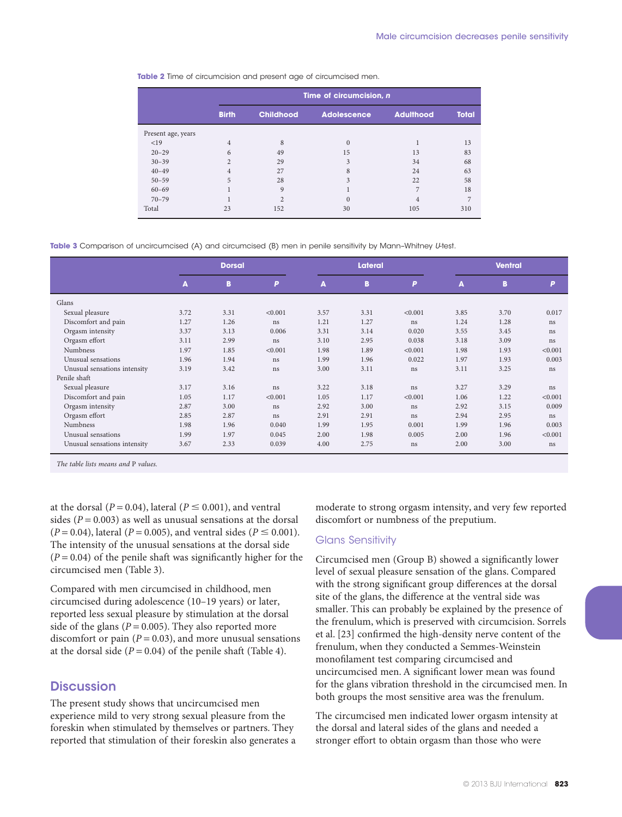**Table 2** Time of circumcision and present age of circumcised men.

|                    | Time of circumcision, n |                  |                         |                  |              |  |  |  |
|--------------------|-------------------------|------------------|-------------------------|------------------|--------------|--|--|--|
|                    | <b>Birth</b>            | <b>Childhood</b> | <b>Adolescence</b>      | <b>Adulthood</b> | <b>Total</b> |  |  |  |
| Present age, years |                         |                  |                         |                  |              |  |  |  |
| <19                | $\overline{4}$          | 8                | $\Omega$                |                  | 13           |  |  |  |
| $20 - 29$          | 6                       | 49               | 15                      | 13               | 83           |  |  |  |
| $30 - 39$          | $\mathcal{D}$           | 29               | $\overline{\mathbf{3}}$ | 34               | 68           |  |  |  |
| $40 - 49$          | 4                       | 27               | 8                       | 24               | 63           |  |  |  |
| $50 - 59$          | 5                       | 28               | 3                       | 22               | 58           |  |  |  |
| $60 - 69$          |                         | 9                |                         | ∍                | 18           |  |  |  |
| $70 - 79$          |                         | $\mathfrak{D}$   | $\Omega$                | 4                |              |  |  |  |
| Total              | 23                      | 152              | 30                      | 105              | 310          |  |  |  |

**Table 3** Comparison of uncircumcised (A) and circumcised (B) men in penile sensitivity by Mann-Whitney U-test.

|                              | <b>Dorsal</b> |      |         | Lateral          |      |         | <b>Ventral</b>   |      |         |
|------------------------------|---------------|------|---------|------------------|------|---------|------------------|------|---------|
|                              | A             | B    | P.      | $\blacktriangle$ | B    | P       | $\blacktriangle$ | в    | P       |
| Glans                        |               |      |         |                  |      |         |                  |      |         |
| Sexual pleasure              | 3.72          | 3.31 | < 0.001 | 3.57             | 3.31 | < 0.001 | 3.85             | 3.70 | 0.017   |
| Discomfort and pain          | 1.27          | 1.26 | ns      | 1.21             | 1.27 | ns      | 1.24             | 1.28 | ns      |
| Orgasm intensity             | 3.37          | 3.13 | 0.006   | 3.31             | 3.14 | 0.020   | 3.55             | 3.45 | ns      |
| Orgasm effort                | 3.11          | 2.99 | ns      | 3.10             | 2.95 | 0.038   | 3.18             | 3.09 | ns      |
| Numbness                     | 1.97          | 1.85 | < 0.001 | 1.98             | 1.89 | < 0.001 | 1.98             | 1.93 | < 0.001 |
| Unusual sensations           | 1.96          | 1.94 | ns      | 1.99             | 1.96 | 0.022   | 1.97             | 1.93 | 0.003   |
| Unusual sensations intensity | 3.19          | 3.42 | ns      | 3.00             | 3.11 | ns.     | 3.11             | 3.25 | ns      |
| Penile shaft                 |               |      |         |                  |      |         |                  |      |         |
| Sexual pleasure              | 3.17          | 3.16 | ns      | 3.22             | 3.18 | ns.     | 3.27             | 3.29 | ns      |
| Discomfort and pain          | 1.05          | 1.17 | < 0.001 | 1.05             | 1.17 | < 0.001 | 1.06             | 1.22 | < 0.001 |
| Orgasm intensity             | 2.87          | 3.00 | ns      | 2.92             | 3.00 | ns      | 2.92             | 3.15 | 0.009   |
| Orgasm effort                | 2.85          | 2.87 | ns      | 2.91             | 2.91 | ns      | 2.94             | 2.95 | ns      |
| Numbness                     | 1.98          | 1.96 | 0.040   | 1.99             | 1.95 | 0.001   | 1.99             | 1.96 | 0.003   |
| Unusual sensations           | 1.99          | 1.97 | 0.045   | 2.00             | 1.98 | 0.005   | 2.00             | 1.96 | < 0.001 |
| Unusual sensations intensity | 3.67          | 2.33 | 0.039   | 4.00             | 2.75 | ns.     | 2.00             | 3.00 | ns      |

*The table lists means and* P *values.*

at the dorsal ( $P = 0.04$ ), lateral ( $P \le 0.001$ ), and ventral sides  $(P = 0.003)$  as well as unusual sensations at the dorsal  $(P = 0.04)$ , lateral  $(P = 0.005)$ , and ventral sides  $(P \le 0.001)$ . The intensity of the unusual sensations at the dorsal side  $(P = 0.04)$  of the penile shaft was significantly higher for the circumcised men (Table 3).

Compared with men circumcised in childhood, men circumcised during adolescence (10–19 years) or later, reported less sexual pleasure by stimulation at the dorsal side of the glans ( $P = 0.005$ ). They also reported more discomfort or pain  $(P = 0.03)$ , and more unusual sensations at the dorsal side  $(P = 0.04)$  of the penile shaft (Table 4).

## **Discussion**

The present study shows that uncircumcised men experience mild to very strong sexual pleasure from the foreskin when stimulated by themselves or partners. They reported that stimulation of their foreskin also generates a moderate to strong orgasm intensity, and very few reported discomfort or numbness of the preputium.

#### Glans Sensitivity

Circumcised men (Group B) showed a significantly lower level of sexual pleasure sensation of the glans. Compared with the strong significant group differences at the dorsal site of the glans, the difference at the ventral side was smaller. This can probably be explained by the presence of the frenulum, which is preserved with circumcision. Sorrels et al. [23] confirmed the high-density nerve content of the frenulum, when they conducted a Semmes-Weinstein monofilament test comparing circumcised and uncircumcised men. A significant lower mean was found for the glans vibration threshold in the circumcised men. In both groups the most sensitive area was the frenulum.

The circumcised men indicated lower orgasm intensity at the dorsal and lateral sides of the glans and needed a stronger effort to obtain orgasm than those who were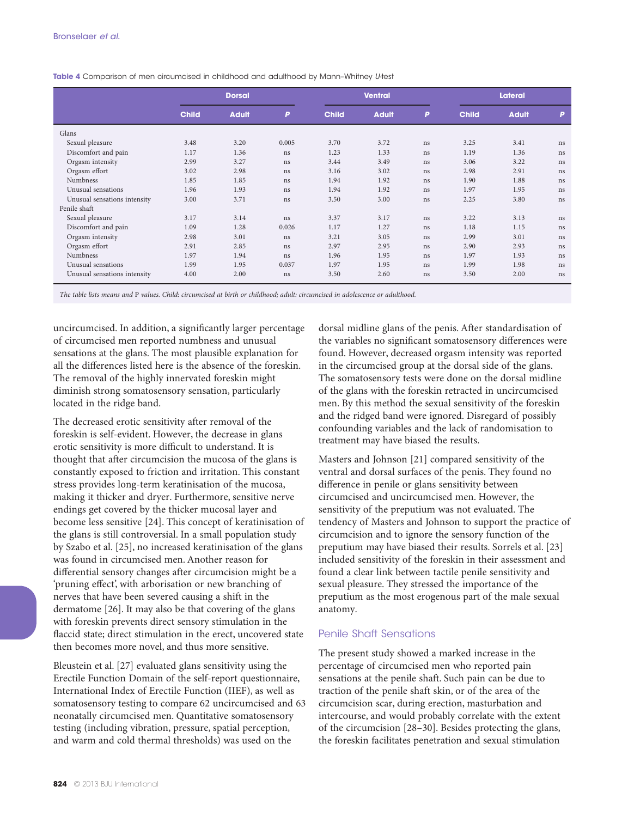|                              | <b>Dorsal</b> |              |       | <b>Ventral</b> |              |     | <b>Lateral</b> |              |    |
|------------------------------|---------------|--------------|-------|----------------|--------------|-----|----------------|--------------|----|
|                              | <b>Child</b>  | <b>Adult</b> | P     | <b>Child</b>   | <b>Adult</b> | P   | <b>Child</b>   | <b>Adult</b> | P  |
| Glans                        |               |              |       |                |              |     |                |              |    |
| Sexual pleasure              | 3.48          | 3.20         | 0.005 | 3.70           | 3.72         | ns  | 3.25           | 3.41         | ns |
| Discomfort and pain          | 1.17          | 1.36         | ns    | 1.23           | 1.33         | ns  | 1.19           | 1.36         | ns |
| Orgasm intensity             | 2.99          | 3.27         | ns    | 3.44           | 3.49         | ns  | 3.06           | 3.22         | ns |
| Orgasm effort                | 3.02          | 2.98         | ns    | 3.16           | 3.02         | ns  | 2.98           | 2.91         | ns |
| Numbness                     | 1.85          | 1.85         | ns    | 1.94           | 1.92         | ns  | 1.90           | 1.88         | ns |
| Unusual sensations           | 1.96          | 1.93         | ns    | 1.94           | 1.92         | ns  | 1.97           | 1.95         | ns |
| Unusual sensations intensity | 3.00          | 3.71         | ns    | 3.50           | 3.00         | ns  | 2.25           | 3.80         | ns |
| Penile shaft                 |               |              |       |                |              |     |                |              |    |
| Sexual pleasure              | 3.17          | 3.14         | ns    | 3.37           | 3.17         | ns  | 3.22           | 3.13         | ns |
| Discomfort and pain          | 1.09          | 1.28         | 0.026 | 1.17           | 1.27         | ns  | 1.18           | 1.15         | ns |
| Orgasm intensity             | 2.98          | 3.01         | ns    | 3.21           | 3.05         | ns. | 2.99           | 3.01         | ns |
| Orgasm effort                | 2.91          | 2.85         | ns    | 2.97           | 2.95         | ns  | 2.90           | 2.93         | ns |
| Numbness                     | 1.97          | 1.94         | ns    | 1.96           | 1.95         | ns  | 1.97           | 1.93         | ns |
| Unusual sensations           | 1.99          | 1.95         | 0.037 | 1.97           | 1.95         | ns  | 1.99           | 1.98         | ns |
| Unusual sensations intensity | 4.00          | 2.00         | ns    | 3.50           | 2.60         | ns  | 3.50           | 2.00         | ns |

**Table 4** Comparison of men circumcised in childhood and adulthood by Mann–Whitney U-test

*The table lists means and* P *values. Child: circumcised at birth or childhood; adult: circumcised in adolescence or adulthood.*

uncircumcised. In addition, a significantly larger percentage of circumcised men reported numbness and unusual sensations at the glans. The most plausible explanation for all the differences listed here is the absence of the foreskin. The removal of the highly innervated foreskin might diminish strong somatosensory sensation, particularly located in the ridge band.

The decreased erotic sensitivity after removal of the foreskin is self-evident. However, the decrease in glans erotic sensitivity is more difficult to understand. It is thought that after circumcision the mucosa of the glans is constantly exposed to friction and irritation. This constant stress provides long-term keratinisation of the mucosa, making it thicker and dryer. Furthermore, sensitive nerve endings get covered by the thicker mucosal layer and become less sensitive [24]. This concept of keratinisation of the glans is still controversial. In a small population study by Szabo et al. [25], no increased keratinisation of the glans was found in circumcised men. Another reason for differential sensory changes after circumcision might be a 'pruning effect', with arborisation or new branching of nerves that have been severed causing a shift in the dermatome [26]. It may also be that covering of the glans with foreskin prevents direct sensory stimulation in the flaccid state; direct stimulation in the erect, uncovered state then becomes more novel, and thus more sensitive.

Bleustein et al. [27] evaluated glans sensitivity using the Erectile Function Domain of the self-report questionnaire, International Index of Erectile Function (IIEF), as well as somatosensory testing to compare 62 uncircumcised and 63 neonatally circumcised men. Quantitative somatosensory testing (including vibration, pressure, spatial perception, and warm and cold thermal thresholds) was used on the

dorsal midline glans of the penis. After standardisation of the variables no significant somatosensory differences were found. However, decreased orgasm intensity was reported in the circumcised group at the dorsal side of the glans. The somatosensory tests were done on the dorsal midline of the glans with the foreskin retracted in uncircumcised men. By this method the sexual sensitivity of the foreskin and the ridged band were ignored. Disregard of possibly confounding variables and the lack of randomisation to treatment may have biased the results.

Masters and Johnson [21] compared sensitivity of the ventral and dorsal surfaces of the penis. They found no difference in penile or glans sensitivity between circumcised and uncircumcised men. However, the sensitivity of the preputium was not evaluated. The tendency of Masters and Johnson to support the practice of circumcision and to ignore the sensory function of the preputium may have biased their results. Sorrels et al. [23] included sensitivity of the foreskin in their assessment and found a clear link between tactile penile sensitivity and sexual pleasure. They stressed the importance of the preputium as the most erogenous part of the male sexual anatomy.

#### Penile Shaft Sensations

The present study showed a marked increase in the percentage of circumcised men who reported pain sensations at the penile shaft. Such pain can be due to traction of the penile shaft skin, or of the area of the circumcision scar, during erection, masturbation and intercourse, and would probably correlate with the extent of the circumcision [28–30]. Besides protecting the glans, the foreskin facilitates penetration and sexual stimulation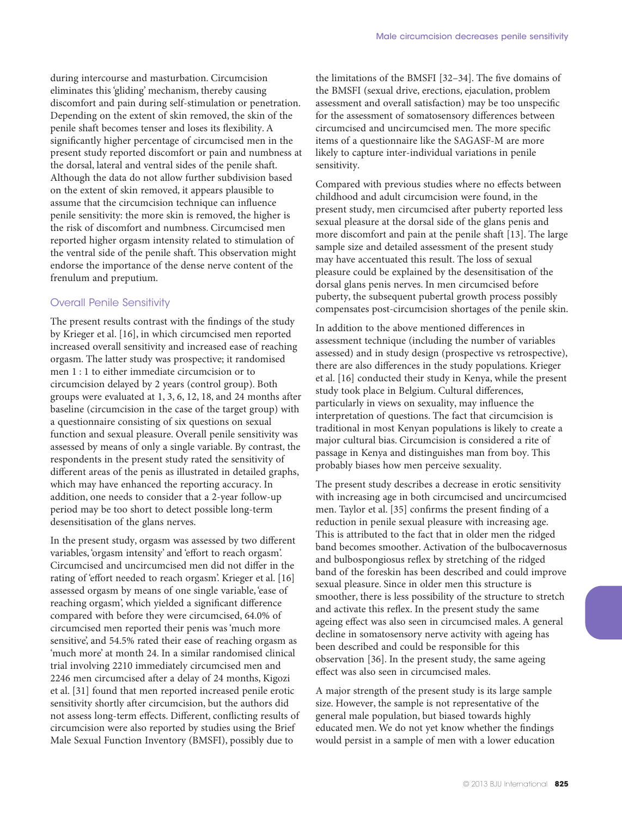during intercourse and masturbation. Circumcision eliminates this 'gliding' mechanism, thereby causing discomfort and pain during self-stimulation or penetration. Depending on the extent of skin removed, the skin of the penile shaft becomes tenser and loses its flexibility. A significantly higher percentage of circumcised men in the present study reported discomfort or pain and numbness at the dorsal, lateral and ventral sides of the penile shaft. Although the data do not allow further subdivision based on the extent of skin removed, it appears plausible to assume that the circumcision technique can influence penile sensitivity: the more skin is removed, the higher is the risk of discomfort and numbness. Circumcised men reported higher orgasm intensity related to stimulation of the ventral side of the penile shaft. This observation might endorse the importance of the dense nerve content of the frenulum and preputium.

#### Overall Penile Sensitivity

The present results contrast with the findings of the study by Krieger et al. [16], in which circumcised men reported increased overall sensitivity and increased ease of reaching orgasm. The latter study was prospective; it randomised men 1 : 1 to either immediate circumcision or to circumcision delayed by 2 years (control group). Both groups were evaluated at 1, 3, 6, 12, 18, and 24 months after baseline (circumcision in the case of the target group) with a questionnaire consisting of six questions on sexual function and sexual pleasure. Overall penile sensitivity was assessed by means of only a single variable. By contrast, the respondents in the present study rated the sensitivity of different areas of the penis as illustrated in detailed graphs, which may have enhanced the reporting accuracy. In addition, one needs to consider that a 2-year follow-up period may be too short to detect possible long-term desensitisation of the glans nerves.

In the present study, orgasm was assessed by two different variables, 'orgasm intensity' and 'effort to reach orgasm'. Circumcised and uncircumcised men did not differ in the rating of 'effort needed to reach orgasm'. Krieger et al. [16] assessed orgasm by means of one single variable, 'ease of reaching orgasm', which yielded a significant difference compared with before they were circumcised, 64.0% of circumcised men reported their penis was 'much more sensitive', and 54.5% rated their ease of reaching orgasm as 'much more' at month 24. In a similar randomised clinical trial involving 2210 immediately circumcised men and 2246 men circumcised after a delay of 24 months, Kigozi et al. [31] found that men reported increased penile erotic sensitivity shortly after circumcision, but the authors did not assess long-term effects. Different, conflicting results of circumcision were also reported by studies using the Brief Male Sexual Function Inventory (BMSFI), possibly due to

the limitations of the BMSFI [32–34]. The five domains of the BMSFI (sexual drive, erections, ejaculation, problem assessment and overall satisfaction) may be too unspecific for the assessment of somatosensory differences between circumcised and uncircumcised men. The more specific items of a questionnaire like the SAGASF-M are more likely to capture inter-individual variations in penile sensitivity.

Compared with previous studies where no effects between childhood and adult circumcision were found, in the present study, men circumcised after puberty reported less sexual pleasure at the dorsal side of the glans penis and more discomfort and pain at the penile shaft [13]. The large sample size and detailed assessment of the present study may have accentuated this result. The loss of sexual pleasure could be explained by the desensitisation of the dorsal glans penis nerves. In men circumcised before puberty, the subsequent pubertal growth process possibly compensates post-circumcision shortages of the penile skin.

In addition to the above mentioned differences in assessment technique (including the number of variables assessed) and in study design (prospective vs retrospective), there are also differences in the study populations. Krieger et al. [16] conducted their study in Kenya, while the present study took place in Belgium. Cultural differences, particularly in views on sexuality, may influence the interpretation of questions. The fact that circumcision is traditional in most Kenyan populations is likely to create a major cultural bias. Circumcision is considered a rite of passage in Kenya and distinguishes man from boy. This probably biases how men perceive sexuality.

The present study describes a decrease in erotic sensitivity with increasing age in both circumcised and uncircumcised men. Taylor et al. [35] confirms the present finding of a reduction in penile sexual pleasure with increasing age. This is attributed to the fact that in older men the ridged band becomes smoother. Activation of the bulbocavernosus and bulbospongiosus reflex by stretching of the ridged band of the foreskin has been described and could improve sexual pleasure. Since in older men this structure is smoother, there is less possibility of the structure to stretch and activate this reflex. In the present study the same ageing effect was also seen in circumcised males. A general decline in somatosensory nerve activity with ageing has been described and could be responsible for this observation [36]. In the present study, the same ageing effect was also seen in circumcised males.

A major strength of the present study is its large sample size. However, the sample is not representative of the general male population, but biased towards highly educated men. We do not yet know whether the findings would persist in a sample of men with a lower education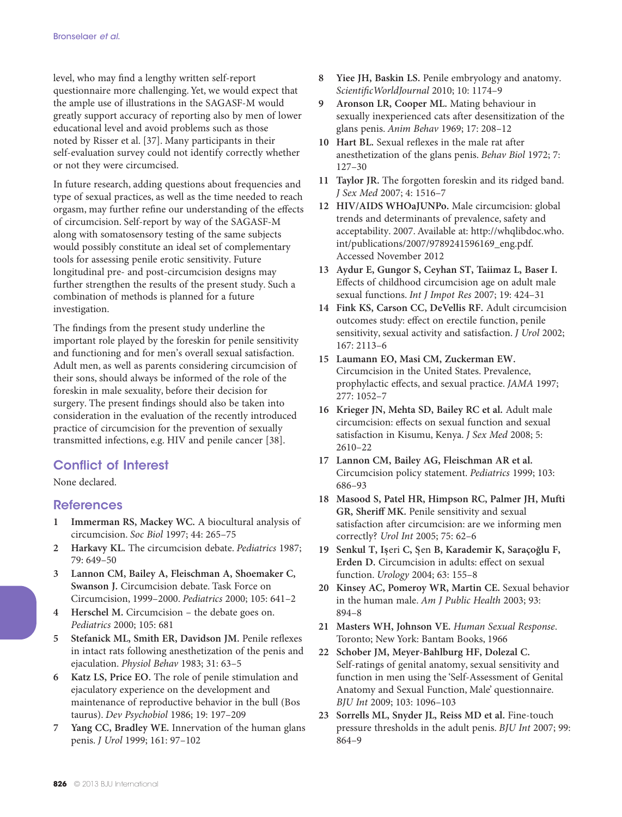level, who may find a lengthy written self-report questionnaire more challenging. Yet, we would expect that the ample use of illustrations in the SAGASF-M would greatly support accuracy of reporting also by men of lower educational level and avoid problems such as those noted by Risser et al. [37]. Many participants in their self-evaluation survey could not identify correctly whether or not they were circumcised.

In future research, adding questions about frequencies and type of sexual practices, as well as the time needed to reach orgasm, may further refine our understanding of the effects of circumcision. Self-report by way of the SAGASF-M along with somatosensory testing of the same subjects would possibly constitute an ideal set of complementary tools for assessing penile erotic sensitivity. Future longitudinal pre- and post-circumcision designs may further strengthen the results of the present study. Such a combination of methods is planned for a future investigation.

The findings from the present study underline the important role played by the foreskin for penile sensitivity and functioning and for men's overall sexual satisfaction. Adult men, as well as parents considering circumcision of their sons, should always be informed of the role of the foreskin in male sexuality, before their decision for surgery. The present findings should also be taken into consideration in the evaluation of the recently introduced practice of circumcision for the prevention of sexually transmitted infections, e.g. HIV and penile cancer [38].

## Conflict of Interest

None declared.

#### **References**

- **1 Immerman RS, Mackey WC.** A biocultural analysis of circumcision. *Soc Biol* 1997; 44: 265–75
- **2 Harkavy KL.** The circumcision debate. *Pediatrics* 1987; 79: 649–50
- **3 Lannon CM, Bailey A, Fleischman A, Shoemaker C, Swanson J.** Circumcision debate. Task Force on Circumcision, 1999–2000. *Pediatrics* 2000; 105: 641–2
- **4 Herschel M.** Circumcision the debate goes on. *Pediatrics* 2000; 105: 681
- **5 Stefanick ML, Smith ER, Davidson JM.** Penile reflexes in intact rats following anesthetization of the penis and ejaculation. *Physiol Behav* 1983; 31: 63–5
- **6 Katz LS, Price EO.** The role of penile stimulation and ejaculatory experience on the development and maintenance of reproductive behavior in the bull (Bos taurus). *Dev Psychobiol* 1986; 19: 197–209
- **7 Yang CC, Bradley WE.** Innervation of the human glans penis. *J Urol* 1999; 161: 97–102
- **8 Yiee JH, Baskin LS.** Penile embryology and anatomy. *ScientificWorldJournal* 2010; 10: 1174–9
- **9 Aronson LR, Cooper ML.** Mating behaviour in sexually inexperienced cats after desensitization of the glans penis. *Anim Behav* 1969; 17: 208–12
- **10 Hart BL.** Sexual reflexes in the male rat after anesthetization of the glans penis. *Behav Biol* 1972; 7: 127–30
- **11 Taylor JR.** The forgotten foreskin and its ridged band. *J Sex Med* 2007; 4: 1516–7
- **12 HIV/AIDS WHOaJUNPo.** Male circumcision: global trends and determinants of prevalence, safety and acceptability. 2007. Available at: http://whqlibdoc.who. int/publications/2007/9789241596169\_eng.pdf. Accessed November 2012
- **13 Aydur E, Gungor S, Ceyhan ST, Taiimaz L, Baser I.** Effects of childhood circumcision age on adult male sexual functions. *Int J Impot Res* 2007; 19: 424–31
- **14 Fink KS, Carson CC, DeVellis RF.** Adult circumcision outcomes study: effect on erectile function, penile sensitivity, sexual activity and satisfaction. *J Urol* 2002; 167: 2113–6
- **15 Laumann EO, Masi CM, Zuckerman EW.** Circumcision in the United States. Prevalence, prophylactic effects, and sexual practice. *JAMA* 1997; 277: 1052–7
- **16 Krieger JN, Mehta SD, Bailey RC et al.** Adult male circumcision: effects on sexual function and sexual satisfaction in Kisumu, Kenya. *J Sex Med* 2008; 5: 2610–22
- **17 Lannon CM, Bailey AG, Fleischman AR et al.** Circumcision policy statement. *Pediatrics* 1999; 103: 686–93
- **18 Masood S, Patel HR, Himpson RC, Palmer JH, Mufti GR, Sheriff MK.** Penile sensitivity and sexual satisfaction after circumcision: are we informing men correctly? *Urol Int* 2005; 75: 62–6
- **19 Senkul T, Is¸**eri **C, S¸**en **B, Karademir K, Saraçoğlu F, Erden D.** Circumcision in adults: effect on sexual function. *Urology* 2004; 63: 155–8
- **20 Kinsey AC, Pomeroy WR, Martin CE.** Sexual behavior in the human male. *Am J Public Health* 2003; 93: 894–8
- **21 Masters WH, Johnson VE.** *Human Sexual Response*. Toronto; New York: Bantam Books, 1966
- **22 Schober JM, Meyer-Bahlburg HF, Dolezal C.** Self-ratings of genital anatomy, sexual sensitivity and function in men using the 'Self-Assessment of Genital Anatomy and Sexual Function, Male' questionnaire. *BJU Int* 2009; 103: 1096–103
- **23 Sorrells ML, Snyder JL, Reiss MD et al.** Fine-touch pressure thresholds in the adult penis. *BJU Int* 2007; 99: 864–9